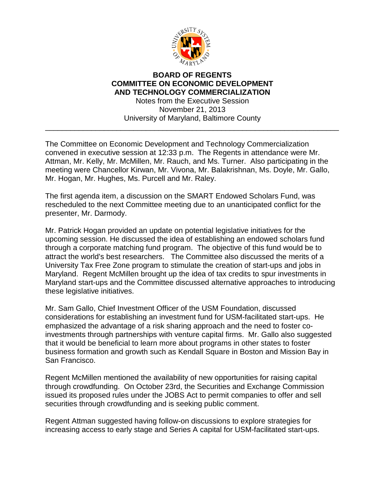

## **BOARD OF REGENTS COMMITTEE ON ECONOMIC DEVELOPMENT AND TECHNOLOGY COMMERCIALIZATION** Notes from the Executive Session November 21, 2013 University of Maryland, Baltimore County \_\_\_\_\_\_\_\_\_\_\_\_\_\_\_\_\_\_\_\_\_\_\_\_\_\_\_\_\_\_\_\_\_\_\_\_\_\_\_\_\_\_\_\_\_\_\_\_\_\_\_\_\_\_\_\_\_\_\_\_\_\_\_\_\_\_\_\_\_\_

The Committee on Economic Development and Technology Commercialization convened in executive session at 12:33 p.m. The Regents in attendance were Mr. Attman, Mr. Kelly, Mr. McMillen, Mr. Rauch, and Ms. Turner. Also participating in the meeting were Chancellor Kirwan, Mr. Vivona, Mr. Balakrishnan, Ms. Doyle, Mr. Gallo, Mr. Hogan, Mr. Hughes, Ms. Purcell and Mr. Raley.

The first agenda item, a discussion on the SMART Endowed Scholars Fund, was rescheduled to the next Committee meeting due to an unanticipated conflict for the presenter, Mr. Darmody.

Mr. Patrick Hogan provided an update on potential legislative initiatives for the upcoming session. He discussed the idea of establishing an endowed scholars fund through a corporate matching fund program. The objective of this fund would be to attract the world's best researchers. The Committee also discussed the merits of a University Tax Free Zone program to stimulate the creation of start-ups and jobs in Maryland. Regent McMillen brought up the idea of tax credits to spur investments in Maryland start-ups and the Committee discussed alternative approaches to introducing these legislative initiatives.

Mr. Sam Gallo, Chief Investment Officer of the USM Foundation, discussed considerations for establishing an investment fund for USM-facilitated start-ups. He emphasized the advantage of a risk sharing approach and the need to foster coinvestments through partnerships with venture capital firms. Mr. Gallo also suggested that it would be beneficial to learn more about programs in other states to foster business formation and growth such as Kendall Square in Boston and Mission Bay in San Francisco.

Regent McMillen mentioned the availability of new opportunities for raising capital through crowdfunding. On October 23rd, the Securities and Exchange Commission issued its proposed rules under the JOBS Act to permit companies to offer and sell securities through crowdfunding and is seeking public comment.

Regent Attman suggested having follow-on discussions to explore strategies for increasing access to early stage and Series A capital for USM-facilitated start-ups.